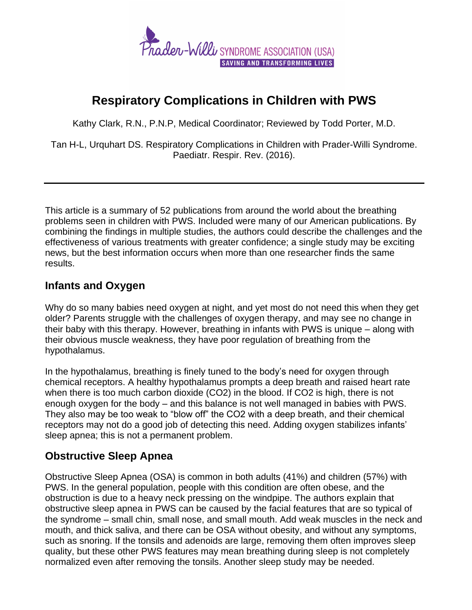## **Respiratory Complications in Children with PWS**

Kathy Clark, R.N., P.N.P, Medical Coordinator; Reviewed by Todd Porter, M.D.

Tan H-L, Urquhart DS. Respiratory Complications in Children with Prader-Willi Syndrome. Paediatr. Respir. Rev. (2016).

This article is a summary of 52 publications from around the world about the breathing problems seen in children with PWS. Included were many of our American publications. By combining the findings in multiple studies, the authors could describe the challenges and the effectiveness of various treatments with greater confidence; a single study may be exciting news, but the best information occurs when more than one researcher finds the same results.

## **Infants and Oxygen**

Why do so many babies need oxygen at night, and yet most do not need this when they get older? Parents struggle with the challenges of oxygen therapy, and may see no change in their baby with this therapy. However, breathing in infants with PWS is unique – along with their obvious muscle weakness, they have poor regulation of breathing from the hypothalamus.

In the hypothalamus, breathing is finely tuned to the body's need for oxygen through chemical receptors. A healthy hypothalamus prompts a deep breath and raised heart rate when there is too much carbon dioxide (CO2) in the blood. If CO2 is high, there is not enough oxygen for the body – and this balance is not well managed in babies with PWS. They also may be too weak to "blow off" the CO2 with a deep breath, and their chemical receptors may not do a good job of detecting this need. Adding oxygen stabilizes infants' sleep apnea; this is not a permanent problem.

## **Obstructive Sleep Apnea**

Obstructive Sleep Apnea (OSA) is common in both adults (41%) and children (57%) with PWS. In the general population, people with this condition are often obese, and the obstruction is due to a heavy neck pressing on the windpipe. The authors explain that obstructive sleep apnea in PWS can be caused by the facial features that are so typical of the syndrome – small chin, small nose, and small mouth. Add weak muscles in the neck and mouth, and thick saliva, and there can be OSA without obesity, and without any symptoms, such as snoring. If the tonsils and adenoids are large, removing them often improves sleep quality, but these other PWS features may mean breathing during sleep is not completely normalized even after removing the tonsils. Another sleep study may be needed.